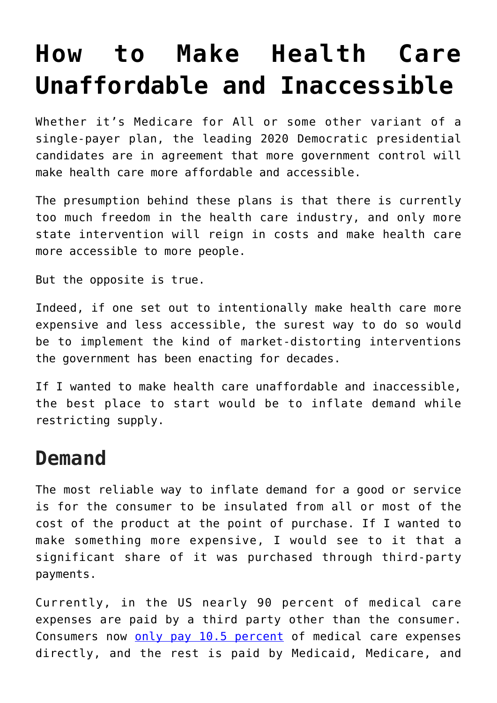# **[How to Make Health Care](https://intellectualtakeout.org/2019/09/how-to-make-health-care-unaffordable-and-inaccessible/) [Unaffordable and Inaccessible](https://intellectualtakeout.org/2019/09/how-to-make-health-care-unaffordable-and-inaccessible/)**

Whether it's Medicare for All or some other variant of a single-payer plan, the leading 2020 Democratic presidential candidates are in agreement that more government control will make health care more affordable and accessible.

The presumption behind these plans is that there is currently too much freedom in the health care industry, and only more state intervention will reign in costs and make health care more accessible to more people.

But the opposite is true.

Indeed, if one set out to intentionally make health care more expensive and less accessible, the surest way to do so would be to implement the kind of market-distorting interventions the government has been enacting for decades.

If I wanted to make health care unaffordable and inaccessible, the best place to start would be to inflate demand while restricting supply.

#### **Demand**

The most reliable way to inflate demand for a good or service is for the consumer to be insulated from all or most of the cost of the product at the point of purchase. If I wanted to make something more expensive, I would see to it that a significant share of it was purchased through third-party payments.

Currently, in the US nearly 90 percent of medical care expenses are paid by a third party other than the consumer. Consumers now [only pay 10.5 percent](https://fee.org/articles/the-pernicious-impact-of-government-intervention-in-healthcare-captured-in-a-chart/) of medical care expenses directly, and the rest is paid by Medicaid, Medicare, and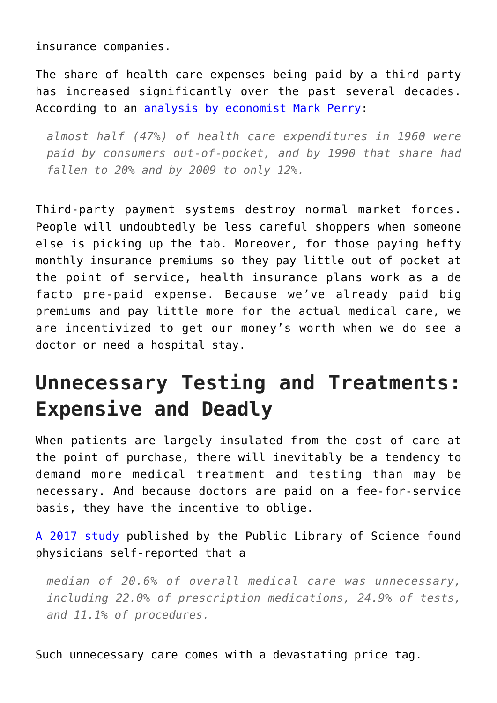insurance companies.

The share of health care expenses being paid by a third party has increased significantly over the past several decades. According to an [analysis by economist Mark Perry:](http://www.aei.org/publication/what-economic-lessons-about-health-care-can-we-learn-from-the-market-for-cosmetic-procedures/)

*almost half (47%) of health care expenditures in 1960 were paid by consumers out-of-pocket, and by 1990 that share had fallen to 20% and by 2009 to only 12%.*

Third-party payment systems destroy normal market forces. People will undoubtedly be less careful shoppers when someone else is picking up the tab. Moreover, for those paying hefty monthly insurance premiums so they pay little out of pocket at the point of service, health insurance plans work as a de facto pre-paid expense. Because we've already paid big premiums and pay little more for the actual medical care, we are incentivized to get our money's worth when we do see a doctor or need a hospital stay.

## **Unnecessary Testing and Treatments: Expensive and Deadly**

When patients are largely insulated from the cost of care at the point of purchase, there will inevitably be a tendency to demand more medical treatment and testing than may be necessary. And because doctors are paid on a fee-for-service basis, they have the incentive to oblige.

[A 2017 study](https://www.ncbi.nlm.nih.gov/pmc/articles/PMC5587107/) published by the Public Library of Science found physicians self-reported that a

*median of 20.6% of overall medical care was unnecessary, including 22.0% of prescription medications, 24.9% of tests, and 11.1% of procedures.*

Such unnecessary care comes with a devastating price tag.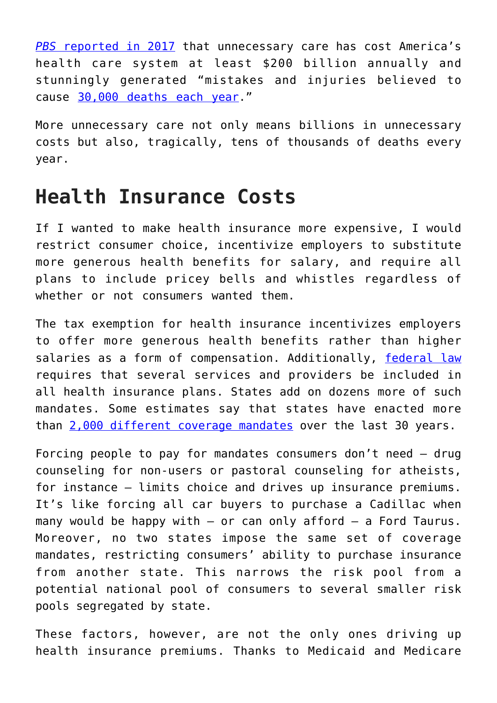*[PBS](https://www.pbs.org/newshour/health/200-billion-perils-unnecessary-medical-tests)* [reported in 2017](https://www.pbs.org/newshour/health/200-billion-perils-unnecessary-medical-tests) that unnecessary care has cost America's health care system at least \$200 billion annually and stunningly generated "mistakes and injuries believed to cause [30,000 deaths each year](http://www.bmj.com/press-releases/2012/10/02/doctors-speak-out-about-unnecessary-care-cost-put-800bn-year)."

More unnecessary care not only means billions in unnecessary costs but also, tragically, tens of thousands of deaths every year.

#### **Health Insurance Costs**

If I wanted to make health insurance more expensive, I would restrict consumer choice, incentivize employers to substitute more generous health benefits for salary, and require all plans to include pricey bells and whistles regardless of whether or not consumers wanted them.

The tax exemption for health insurance incentivizes employers to offer more generous health benefits rather than higher salaries as a form of compensation. Additionally, [federal law](https://www.verywellhealth.com/mandated-health-insurance-benefits-1738931) requires that several services and providers be included in all health insurance plans. States add on dozens more of such mandates. Some estimates say that states have enacted more than [2,000 different coverage mandates](http://www.ncsl.org/research/health/state-ins-mandates-and-aca-essential-benefits.aspx) over the last 30 years.

Forcing people to pay for mandates consumers don't need – drug counseling for non-users or pastoral counseling for atheists, for instance – limits choice and drives up insurance premiums. It's like forcing all car buyers to purchase a Cadillac when many would be happy with  $-$  or can only afford  $-$  a Ford Taurus. Moreover, no two states impose the same set of coverage mandates, restricting consumers' ability to purchase insurance from another state. This narrows the risk pool from a potential national pool of consumers to several smaller risk pools segregated by state.

These factors, however, are not the only ones driving up health insurance premiums. Thanks to Medicaid and Medicare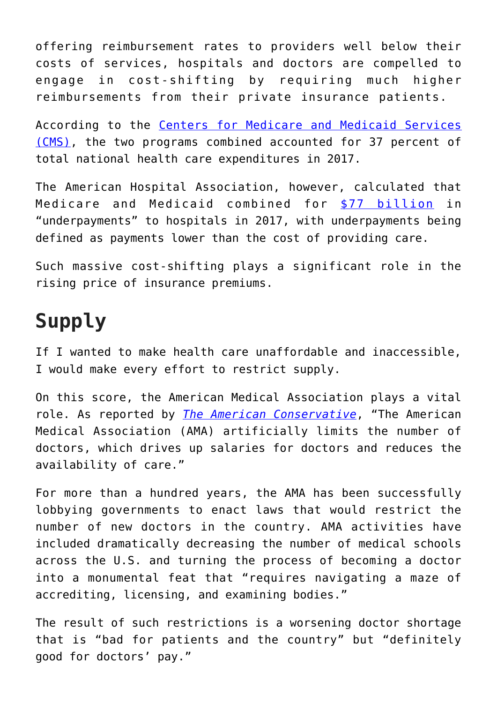offering reimbursement rates to providers well below their costs of services, hospitals and doctors are compelled to engage in cost-shifting by requiring much higher reimbursements from their private insurance patients.

According to the [Centers for Medicare and Medicaid Services](https://www.cms.gov/research-statistics-data-and-systems/statistics-trends-and-reports/nationalhealthexpenddata/nhe-fact-sheet.html) [\(CMS\),](https://www.cms.gov/research-statistics-data-and-systems/statistics-trends-and-reports/nationalhealthexpenddata/nhe-fact-sheet.html) the two programs combined accounted for 37 percent of total national health care expenditures in 2017.

The American Hospital Association, however, calculated that Medicare and Medicaid combined for [\\$77 billion](https://www.aha.org/news/headline/2019-01-03-aha-medicare-medicaid-underpaid-hospitals-768-billion-2017) in "underpayments" to hospitals in 2017, with underpayments being defined as payments lower than the cost of providing care.

Such massive cost-shifting plays a significant role in the rising price of insurance premiums.

## **Supply**

If I wanted to make health care unaffordable and inaccessible, I would make every effort to restrict supply.

On this score, the American Medical Association plays a vital role. As reported by *[The American Conservative](https://www.theamericanconservative.com/articles/the-doctor-monopoly-is-killing-american-patients/)*, "The American Medical Association (AMA) artificially limits the number of doctors, which drives up salaries for doctors and reduces the availability of care."

For more than a hundred years, the AMA has been successfully lobbying governments to enact laws that would restrict the number of new doctors in the country. AMA activities have included dramatically decreasing the number of medical schools across the U.S. and turning the process of becoming a doctor into a monumental feat that "requires navigating a maze of accrediting, licensing, and examining bodies."

The result of such restrictions is a worsening doctor shortage that is "bad for patients and the country" but "definitely good for doctors' pay."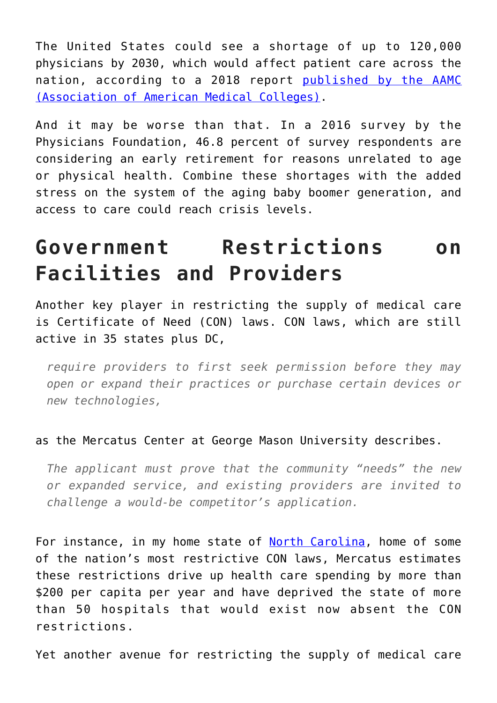The United States could see a shortage of up to 120,000 physicians by 2030, which would affect patient care across the nation, according to a 2018 report [published by the AAMC](https://news.aamc.org/press-releases/article/workforce_report_shortage_04112018/) [\(Association of American Medical Colleges\).](https://news.aamc.org/press-releases/article/workforce_report_shortage_04112018/)

And it may be worse than that. In a 2016 survey by the Physicians Foundation, 46.8 percent of survey respondents are considering an early retirement for reasons unrelated to age or physical health. Combine these shortages with the added stress on the system of the aging baby boomer generation, and access to care could reach crisis levels.

# **Government Restrictions on Facilities and Providers**

Another key player in restricting the supply of medical care is Certificate of Need (CON) laws. CON laws, which are still active in 35 states plus DC,

*require providers to first seek permission before they may open or expand their practices or purchase certain devices or new technologies,*

#### as the Mercatus Center at George Mason University describes.

*The applicant must prove that the community "needs" the new or expanded service, and existing providers are invited to challenge a would-be competitor's application.*

For instance, in my home state of [North Carolina,](https://www.mercatus.org/system/files/north_carolina_state_profile.pdf) home of some of the nation's most restrictive CON laws, Mercatus estimates these restrictions drive up health care spending by more than \$200 per capita per year and have deprived the state of more than 50 hospitals that would exist now absent the CON restrictions.

Yet another avenue for restricting the supply of medical care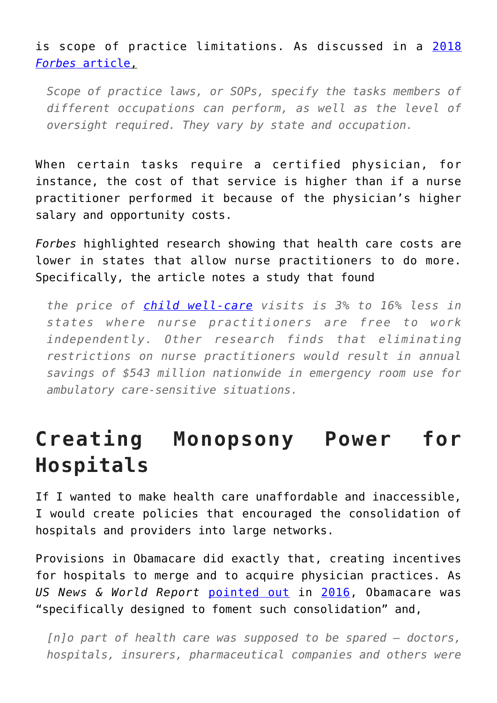is scope of practice limitations. As discussed in a [2018](https://www.forbes.com/sites/adammillsap/2018/06/19/its-time-to-expand-scope-of-practice-laws/#5254a8a62c64) *[Forbes](https://www.forbes.com/sites/adammillsap/2018/06/19/its-time-to-expand-scope-of-practice-laws/#5254a8a62c64)* [article](https://www.forbes.com/sites/adammillsap/2018/06/19/its-time-to-expand-scope-of-practice-laws/#5254a8a62c64),

*Scope of practice laws, or SOPs, specify the tasks members of different occupations can perform, as well as the level of oversight required. They vary by state and occupation.*

When certain tasks require a certified physician, for instance, the cost of that service is higher than if a nurse practitioner performed it because of the physician's higher salary and opportunity costs.

*Forbes* highlighted research showing that health care costs are lower in states that allow nurse practitioners to do more. Specifically, the article notes a study that found

*the price of [child well-care](http://www.ncqa.org/report-cards/health-plans/state-of-health-care-quality/2017-table-of-contents/child-well-care-visits) visits is 3% to 16% less in states where nurse practitioners are free to work independently. Other research finds that eliminating restrictions on nurse practitioners would result in annual savings of \$543 million nationwide in emergency room use for ambulatory care-sensitive situations.*

#### **Creating Monopsony Power for Hospitals**

If I wanted to make health care unaffordable and inaccessible, I would create policies that encouraged the consolidation of hospitals and providers into large networks.

Provisions in Obamacare did exactly that, creating incentives for hospitals to merge and to acquire physician practices. As *US News & World Report* [pointed out](https://www.usnews.com/opinion/articles/2016-08-11/obamacare-gave-rise-to-the-health-care-mergers-its-advocates-oppose) in [2016,](https://www.usnews.com/opinion/articles/2016-08-11/obamacare-gave-rise-to-the-health-care-mergers-its-advocates-oppose) Obamacare was "specifically designed to foment such consolidation" and,

*[n]o part of health care was supposed to be spared – doctors, hospitals, insurers, pharmaceutical companies and others were*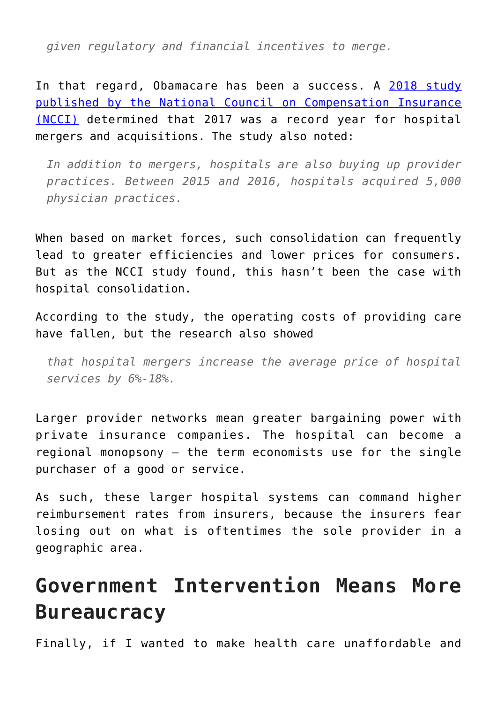*given regulatory and financial incentives to merge.*

In that regard, Obamacare has been a success. A [2018 study](https://www.ncci.com/Articles/Pages/II_Insights_QEB_Impact-of-Hospital-Consolidation-on-Medical-Costs.aspx) [published by the National Council on Compensation Insurance](https://www.ncci.com/Articles/Pages/II_Insights_QEB_Impact-of-Hospital-Consolidation-on-Medical-Costs.aspx) [\(NCCI\)](https://www.ncci.com/Articles/Pages/II_Insights_QEB_Impact-of-Hospital-Consolidation-on-Medical-Costs.aspx) determined that 2017 was a record year for hospital mergers and acquisitions. The study also noted:

*In addition to mergers, hospitals are also buying up provider practices. Between 2015 and 2016, hospitals acquired 5,000 physician practices.*

When based on market forces, such consolidation can frequently lead to greater efficiencies and lower prices for consumers. But as the NCCI study found, this hasn't been the case with hospital consolidation.

According to the study, the operating costs of providing care have fallen, but the research also showed

*that hospital mergers increase the average price of hospital services by 6%-18%.*

Larger provider networks mean greater bargaining power with private insurance companies. The hospital can become a regional monopsony – the term economists use for the single purchaser of a good or service.

As such, these larger hospital systems can command higher reimbursement rates from insurers, because the insurers fear losing out on what is oftentimes the sole provider in a geographic area.

## **Government Intervention Means More Bureaucracy**

Finally, if I wanted to make health care unaffordable and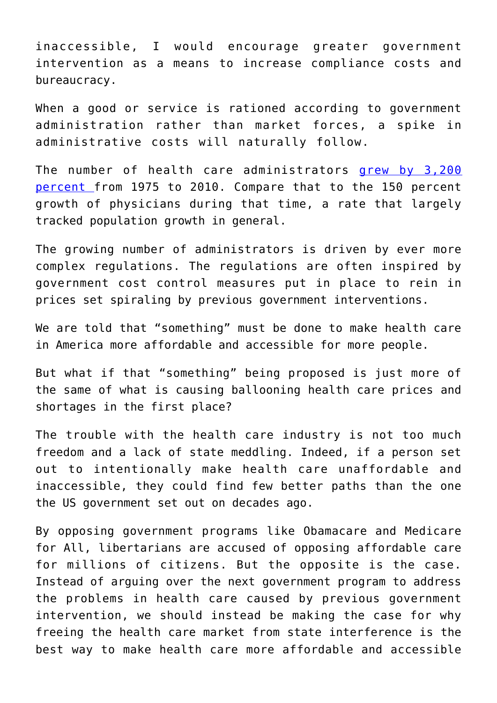inaccessible, I would encourage greater government intervention as a means to increase compliance costs and bureaucracy.

When a good or service is rationed according to government administration rather than market forces, a spike in administrative costs will naturally follow.

The number of health care administrators [grew by](https://www.athenahealth.com/insight/expert-forum-rise-and-rise-healthcare-administrator) [3,200](https://www.athenahealth.com/insight/expert-forum-rise-and-rise-healthcare-administrator) [percent f](https://www.athenahealth.com/insight/expert-forum-rise-and-rise-healthcare-administrator)rom 1975 to 2010. Compare that to the 150 percent growth of physicians during that time, a rate that largely tracked population growth in general.

The growing number of administrators is driven by ever more complex regulations. The regulations are often inspired by government cost control measures put in place to rein in prices set spiraling by previous government interventions.

We are told that "something" must be done to make health care in America more affordable and accessible for more people.

But what if that "something" being proposed is just more of the same of what is causing ballooning health care prices and shortages in the first place?

The trouble with the health care industry is not too much freedom and a lack of state meddling. Indeed, if a person set out to intentionally make health care unaffordable and inaccessible, they could find few better paths than the one the US government set out on decades ago.

By opposing government programs like Obamacare and Medicare for All, libertarians are accused of opposing affordable care for millions of citizens. But the opposite is the case. Instead of arguing over the next government program to address the problems in health care caused by previous government intervention, we should instead be making the case for why freeing the health care market from state interference is the best way to make health care more affordable and accessible